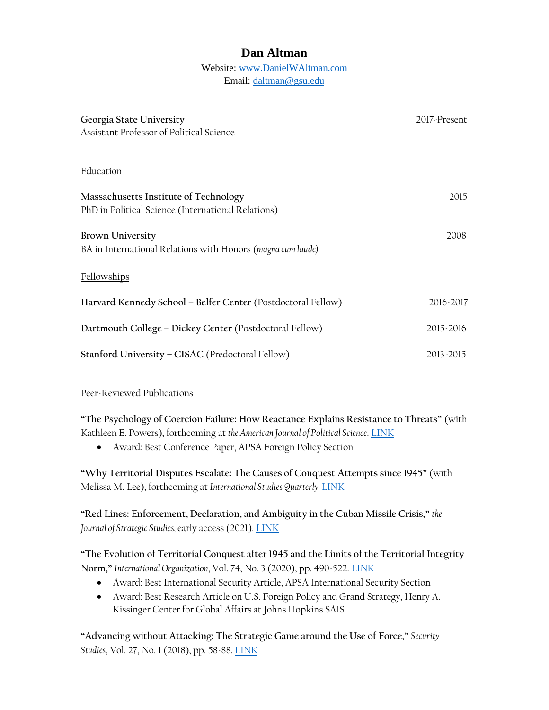# **Dan Altman**

#### Website: [www.DanielWAltman.com](http://www.danielwaltman.com/) Email: [daltman@gsu.edu](mailto:daltman@gsu.edu)

| Georgia State University<br>Assistant Professor of Political Science                        | 2017-Present |
|---------------------------------------------------------------------------------------------|--------------|
| Education                                                                                   |              |
| Massachusetts Institute of Technology<br>PhD in Political Science (International Relations) | 2015         |
| <b>Brown University</b><br>BA in International Relations with Honors (magna cum laude)      | 2008         |
| Fellowships                                                                                 |              |
| Harvard Kennedy School - Belfer Center (Postdoctoral Fellow)                                | 2016-2017    |
| Dartmouth College – Dickey Center (Postdoctoral Fellow)                                     | 2015-2016    |
| Stanford University - CISAC (Predoctoral Fellow)                                            | 2013-2015    |

## Peer-Reviewed Publications

**"The Psychology of Coercion Failure: How Reactance Explains Resistance to Threats"** (with Kathleen E. Powers), forthcoming at *the American Journal of Political Science*. [LINK](http://www.danielwaltman.com/uploads/3/2/3/1/32312379/powersaltman_coercion.pdf)

• Award: Best Conference Paper, APSA Foreign Policy Section

**"Why Territorial Disputes Escalate: The Causes of Conquest Attempts since 1945"** (with Melissa M. Lee), forthcoming at *International Studies Quarterly.* [LINK](http://www.danielwaltman.com/uploads/3/2/3/1/32312379/isq_forthcoming.pdf)

**"Red Lines: Enforcement, Declaration, and Ambiguity in the Cuban Missile Crisis,"** *the Journal of Strategic Studies,* early access (2021). [LINK](http://www.danielwaltman.com/uploads/3/2/3/1/32312379/red_lines.pdf)

**"The Evolution of Territorial Conquest after 1945 and the Limits of the Territorial Integrity Norm,"** *International Organization*, Vol. 74, No. 3 (2020), pp. 490-522. [LINK](http://www.danielwaltman.com/uploads/3/2/3/1/32312379/evolution_of_conquest.pdf)

- Award: Best International Security Article, APSA International Security Section
- Award: Best Research Article on U.S. Foreign Policy and Grand Strategy, Henry A. Kissinger Center for Global Affairs at Johns Hopkins SAIS

**"Advancing without Attacking: The Strategic Game around the Use of Force,"** *Security*  Studies, Vol. 27, No. 1 (2018), pp. 58-88. [LINK](http://www.danielwaltman.com/uploads/3/2/3/1/32312379/advancing_without_attacking.pdf)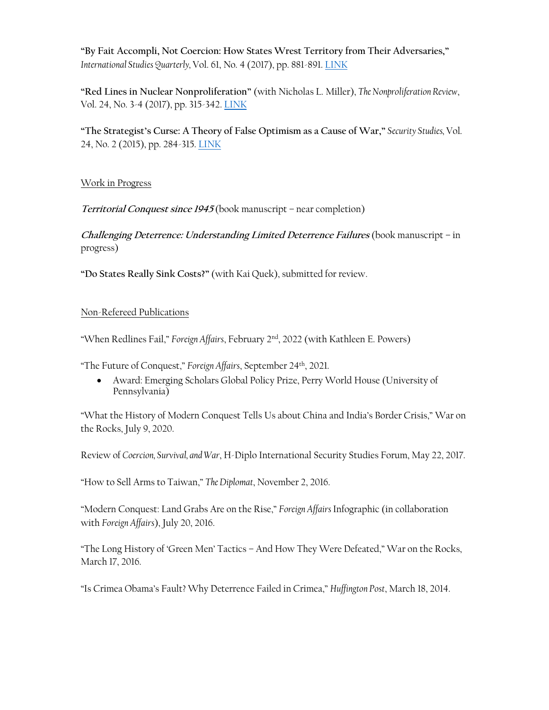**"By Fait Accompli, Not Coercion: How States Wrest Territory from Their Adversaries,"** *International Studies Quarterly,* Vol. 61, No. 4 (2017), pp. 881-891. [LINK](http://www.danielwaltman.com/uploads/3/2/3/1/32312379/by_fait_accompli.pdf)

**"Red Lines in Nuclear Nonproliferation"** (with Nicholas L. Miller), *The Nonproliferation Review*, Vol. 24, No. 3-4 (2017), pp. 315-342. [LINK](https://www.tandfonline.com/doi/full/10.1080/10736700.2018.1433575)

**"The Strategist's Curse: A Theory of False Optimism as a Cause of War,"** *Security Studies,* Vol. 24, No. 2 (2015), pp. 284-315. [LINK](http://www.danielwaltman.com/uploads/3/2/3/1/32312379/strategists_curse.pdf)

### Work in Progress

**Territorial Conquest since 1945** (book manuscript – near completion)

**Challenging Deterrence: Understanding Limited Deterrence Failures** (book manuscript – in progress)

**"Do States Really Sink Costs?"** (with Kai Quek), submitted for review.

### Non-Refereed Publications

"When Redlines Fail," *Foreign Affairs*, February 2nd, 2022 (with Kathleen E. Powers)

"The Future of Conquest," *Foreign Affairs*, September 24th, 2021.

• Award: Emerging Scholars Global Policy Prize, Perry World House (University of Pennsylvania)

"What the History of Modern Conquest Tells Us about China and India's Border Crisis," War on the Rocks, July 9, 2020.

Review of *Coercion, Survival, and War*, H-Diplo International Security Studies Forum, May 22, 2017.

"How to Sell Arms to Taiwan," *The Diplomat*, November 2, 2016.

"Modern Conquest: Land Grabs Are on the Rise," *Foreign Affairs* Infographic (in collaboration with *Foreign Affairs*), July 20, 2016.

"The Long History of 'Green Men' Tactics – And How They Were Defeated," War on the Rocks, March 17, 2016.

"Is Crimea Obama's Fault? Why Deterrence Failed in Crimea," *Huffington Post*, March 18, 2014.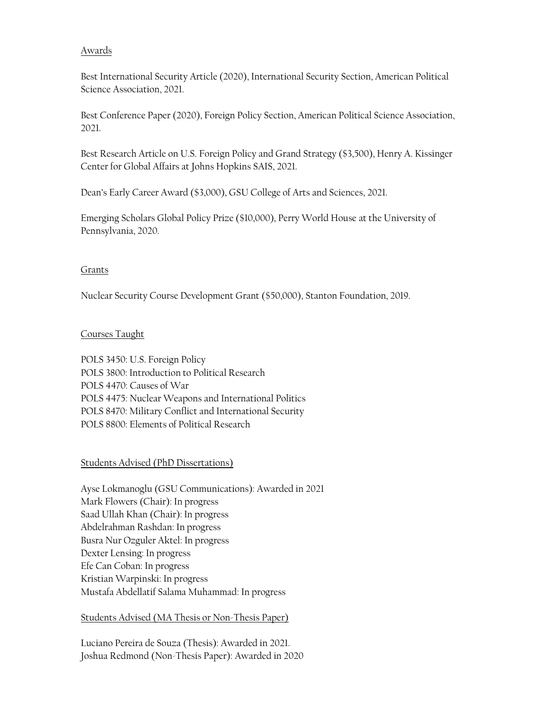#### Awards

Best International Security Article (2020), International Security Section, American Political Science Association, 2021.

Best Conference Paper (2020), Foreign Policy Section, American Political Science Association, 2021.

Best Research Article on U.S. Foreign Policy and Grand Strategy (\$3,500), Henry A. Kissinger Center for Global Affairs at Johns Hopkins SAIS, 2021.

Dean's Early Career Award (\$3,000), GSU College of Arts and Sciences, 2021.

Emerging Scholars Global Policy Prize (\$10,000), Perry World House at the University of Pennsylvania, 2020.

#### Grants

Nuclear Security Course Development Grant (\$50,000), Stanton Foundation, 2019.

### Courses Taught

POLS 3450: U.S. Foreign Policy POLS 3800: Introduction to Political Research POLS 4470: Causes of War POLS 4475: Nuclear Weapons and International Politics POLS 8470: Military Conflict and International Security POLS 8800: Elements of Political Research

#### Students Advised (PhD Dissertations)

Ayse Lokmanoglu (GSU Communications): Awarded in 2021 Mark Flowers (Chair): In progress Saad Ullah Khan (Chair): In progress Abdelrahman Rashdan: In progress Busra Nur Ozguler Aktel: In progress Dexter Lensing: In progress Efe Can Coban: In progress Kristian Warpinski: In progress Mustafa Abdellatif Salama Muhammad: In progress

#### Students Advised (MA Thesis or Non-Thesis Paper)

Luciano Pereira de Souza (Thesis): Awarded in 2021. Joshua Redmond (Non-Thesis Paper): Awarded in 2020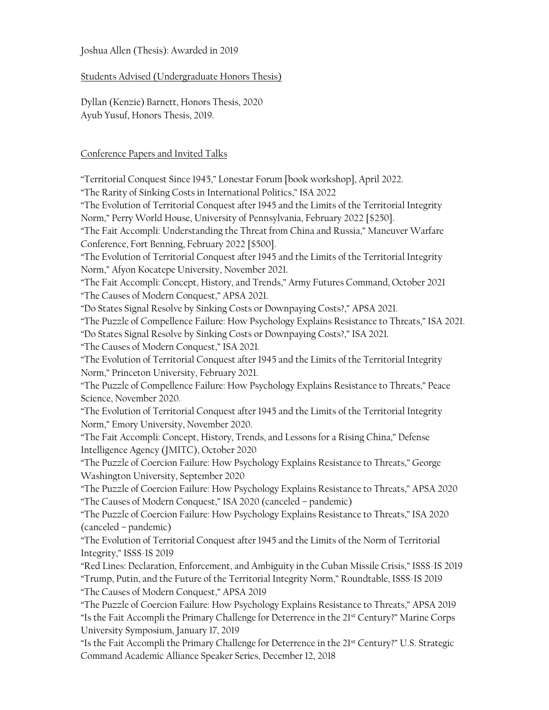#### Joshua Allen (Thesis): Awarded in 2019

Students Advised (Undergraduate Honors Thesis)

Dyllan (Kenzie) Barnett, Honors Thesis, 2020 Ayub Yusuf, Honors Thesis, 2019.

#### Conference Papers and Invited Talks

"Territorial Conquest Since 1945," Lonestar Forum [book workshop], April 2022.

"The Rarity of Sinking Costs in International Politics," ISA 2022

"The Evolution of Territorial Conquest after 1945 and the Limits of the Territorial Integrity Norm," Perry World House, University of Pennsylvania, February 2022 [\$250].

"The Fait Accompli: Understanding the Threat from China and Russia," Maneuver Warfare Conference, Fort Benning, February 2022 [\$500].

"The Evolution of Territorial Conquest after 1945 and the Limits of the Territorial Integrity Norm," Afyon Kocatepe University, November 2021.

"The Fait Accompli: Concept, History, and Trends," Army Futures Command, October 2021 "The Causes of Modern Conquest," APSA 2021.

"Do States Signal Resolve by Sinking Costs or Downpaying Costs?," APSA 2021.

"The Puzzle of Compellence Failure: How Psychology Explains Resistance to Threats," ISA 2021.

"Do States Signal Resolve by Sinking Costs or Downpaying Costs?," ISA 2021.

"The Causes of Modern Conquest," ISA 2021.

"The Evolution of Territorial Conquest after 1945 and the Limits of the Territorial Integrity Norm," Princeton University, February 2021.

"The Puzzle of Compellence Failure: How Psychology Explains Resistance to Threats," Peace Science, November 2020.

"The Evolution of Territorial Conquest after 1945 and the Limits of the Territorial Integrity Norm," Emory University, November 2020.

"The Fait Accompli: Concept, History, Trends, and Lessons for a Rising China," Defense Intelligence Agency (JMITC), October 2020

"The Puzzle of Coercion Failure: How Psychology Explains Resistance to Threats," George Washington University, September 2020

"The Puzzle of Coercion Failure: How Psychology Explains Resistance to Threats," APSA 2020 "The Causes of Modern Conquest," ISA 2020 (canceled – pandemic)

"The Puzzle of Coercion Failure: How Psychology Explains Resistance to Threats," ISA 2020 (canceled – pandemic)

"The Evolution of Territorial Conquest after 1945 and the Limits of the Norm of Territorial Integrity," ISSS-IS 2019

"Red Lines: Declaration, Enforcement, and Ambiguity in the Cuban Missile Crisis," ISSS-IS 2019 "Trump, Putin, and the Future of the Territorial Integrity Norm," Roundtable, ISSS-IS 2019 "The Causes of Modern Conquest," APSA 2019

"The Puzzle of Coercion Failure: How Psychology Explains Resistance to Threats," APSA 2019 "Is the Fait Accompli the Primary Challenge for Deterrence in the 21st Century?" Marine Corps University Symposium, January 17, 2019

"Is the Fait Accompli the Primary Challenge for Deterrence in the 21st Century?" U.S. Strategic Command Academic Alliance Speaker Series, December 12, 2018